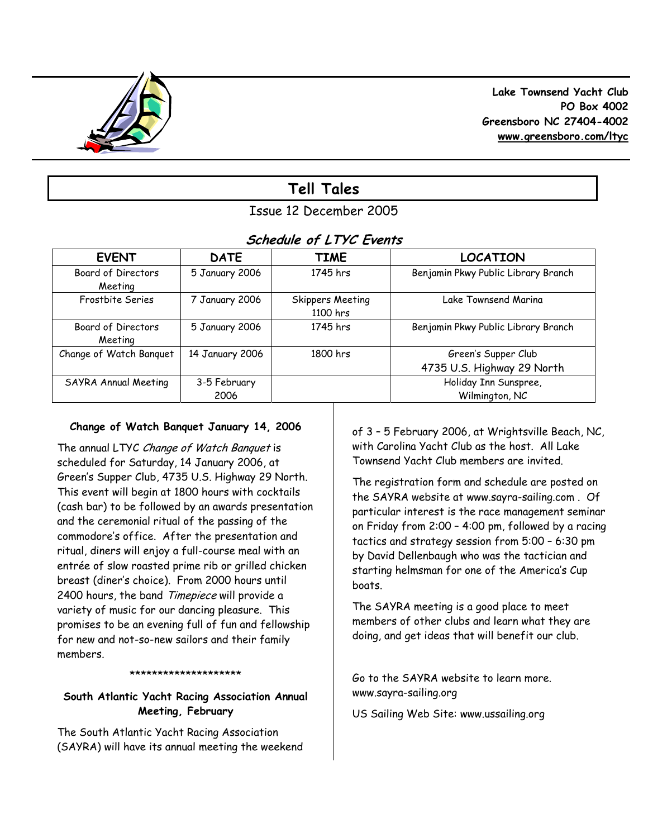

 **Lake Townsend Yacht Club PO Box 4002 Greensboro NC 27404-4002 www.greensboro.com/ltyc** 

# **Tell Tales**

# Issue 12 December 2005

# **Schedule of LTYC Events**

| <b>EVENT</b>              | <b>DATE</b>     | <b>TIME</b>             | <b>LOCATION</b>                     |
|---------------------------|-----------------|-------------------------|-------------------------------------|
| <b>Board of Directors</b> | 5 January 2006  | 1745 hrs                | Benjamin Pkwy Public Library Branch |
| Meeting                   |                 |                         |                                     |
| Frostbite Series          | 7 January 2006  | <b>Skippers Meeting</b> | Lake Townsend Marina                |
|                           |                 | 1100 hrs                |                                     |
| Board of Directors        | 5 January 2006  | 1745 hrs                | Benjamin Pkwy Public Library Branch |
| Meeting                   |                 |                         |                                     |
| Change of Watch Banquet   | 14 January 2006 | 1800 hrs                | Green's Supper Club                 |
|                           |                 |                         | 4735 U.S. Highway 29 North          |
| SAYRA Annual Meeting      | 3-5 February    |                         | Holiday Inn Sunspree,               |
|                           | 2006            |                         | Wilmington, NC                      |

# **Change of Watch Banquet January 14, 2006**

The annual LTYC Change of Watch Banquet is scheduled for Saturday, 14 January 2006, at Green's Supper Club, 4735 U.S. Highway 29 North. This event will begin at 1800 hours with cocktails (cash bar) to be followed by an awards presentation and the ceremonial ritual of the passing of the commodore's office. After the presentation and ritual, diners will enjoy a full-course meal with an entrée of slow roasted prime rib or grilled chicken breast (diner's choice). From 2000 hours until 2400 hours, the band Timepiece will provide a variety of music for our dancing pleasure. This promises to be an evening full of fun and fellowship for new and not-so-new sailors and their family members.

#### \*\*\*\*\*\*\*\*\*\*\*\*\*\*\*\*\*\*\*\*\*\*\*\*\*\*\*\*\*\*\*\*\*\*

# **South Atlantic Yacht Racing Association Annual Meeting, February**

The South Atlantic Yacht Racing Association (SAYRA) will have its annual meeting the weekend of 3 – 5 February 2006, at Wrightsville Beach, NC, with Carolina Yacht Club as the host. All Lake Townsend Yacht Club members are invited.

The registration form and schedule are posted on the SAYRA website at www.sayra-sailing.com . Of particular interest is the race management seminar on Friday from 2:00 – 4:00 pm, followed by a racing tactics and strategy session from 5:00 – 6:30 pm by David Dellenbaugh who was the tactician and starting helmsman for one of the America's Cup boats.

The SAYRA meeting is a good place to meet members of other clubs and learn what they are doing, and get ideas that will benefit our club.

Go to the SAYRA website to learn more. www.sayra-sailing.org

US Sailing Web Site: www.ussailing.org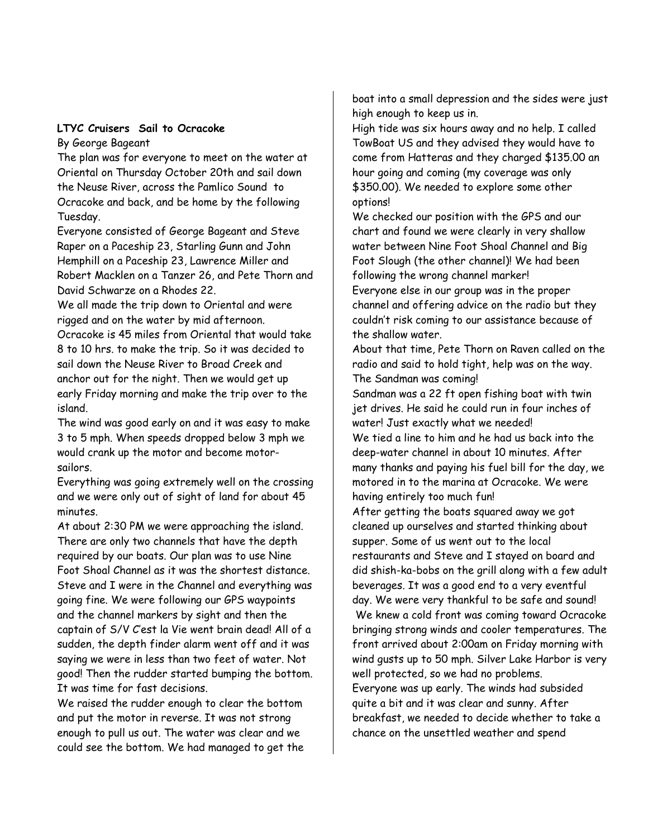### **LTYC Cruisers Sail to Ocracoke**  By George Bageant

The plan was for everyone to meet on the water at Oriental on Thursday October 20th and sail down the Neuse River, across the Pamlico Sound to Ocracoke and back, and be home by the following Tuesday.

Everyone consisted of George Bageant and Steve Raper on a Paceship 23, Starling Gunn and John Hemphill on a Paceship 23, Lawrence Miller and Robert Macklen on a Tanzer 26, and Pete Thorn and David Schwarze on a Rhodes 22.

We all made the trip down to Oriental and were rigged and on the water by mid afternoon. Ocracoke is 45 miles from Oriental that would take 8 to 10 hrs. to make the trip. So it was decided to sail down the Neuse River to Broad Creek and anchor out for the night. Then we would get up early Friday morning and make the trip over to the island.

The wind was good early on and it was easy to make 3 to 5 mph. When speeds dropped below 3 mph we would crank up the motor and become motorsailors.

Everything was going extremely well on the crossing and we were only out of sight of land for about 45 minutes.

At about 2:30 PM we were approaching the island. There are only two channels that have the depth required by our boats. Our plan was to use Nine Foot Shoal Channel as it was the shortest distance. Steve and I were in the Channel and everything was going fine. We were following our GPS waypoints and the channel markers by sight and then the captain of S/V C'est la Vie went brain dead! All of a sudden, the depth finder alarm went off and it was saying we were in less than two feet of water. Not good! Then the rudder started bumping the bottom. It was time for fast decisions.

We raised the rudder enough to clear the bottom and put the motor in reverse. It was not strong enough to pull us out. The water was clear and we could see the bottom. We had managed to get the boat into a small depression and the sides were just high enough to keep us in.

High tide was six hours away and no help. I called TowBoat US and they advised they would have to come from Hatteras and they charged \$135.00 an hour going and coming (my coverage was only \$350.00). We needed to explore some other options!

We checked our position with the GPS and our chart and found we were clearly in very shallow water between Nine Foot Shoal Channel and Big Foot Slough (the other channel)! We had been following the wrong channel marker!

Everyone else in our group was in the proper channel and offering advice on the radio but they couldn't risk coming to our assistance because of the shallow water.

About that time, Pete Thorn on Raven called on the radio and said to hold tight, help was on the way. The Sandman was coming!

Sandman was a 22 ft open fishing boat with twin jet drives. He said he could run in four inches of water! Just exactly what we needed! We tied a line to him and he had us back into the deep-water channel in about 10 minutes. After many thanks and paying his fuel bill for the day, we motored in to the marina at Ocracoke. We were having entirely too much fun!

After getting the boats squared away we got cleaned up ourselves and started thinking about supper. Some of us went out to the local restaurants and Steve and I stayed on board and did shish-ka-bobs on the grill along with a few adult beverages. It was a good end to a very eventful day. We were very thankful to be safe and sound!

 We knew a cold front was coming toward Ocracoke bringing strong winds and cooler temperatures. The front arrived about 2:00am on Friday morning with wind gusts up to 50 mph. Silver Lake Harbor is very well protected, so we had no problems.

Everyone was up early. The winds had subsided quite a bit and it was clear and sunny. After breakfast, we needed to decide whether to take a chance on the unsettled weather and spend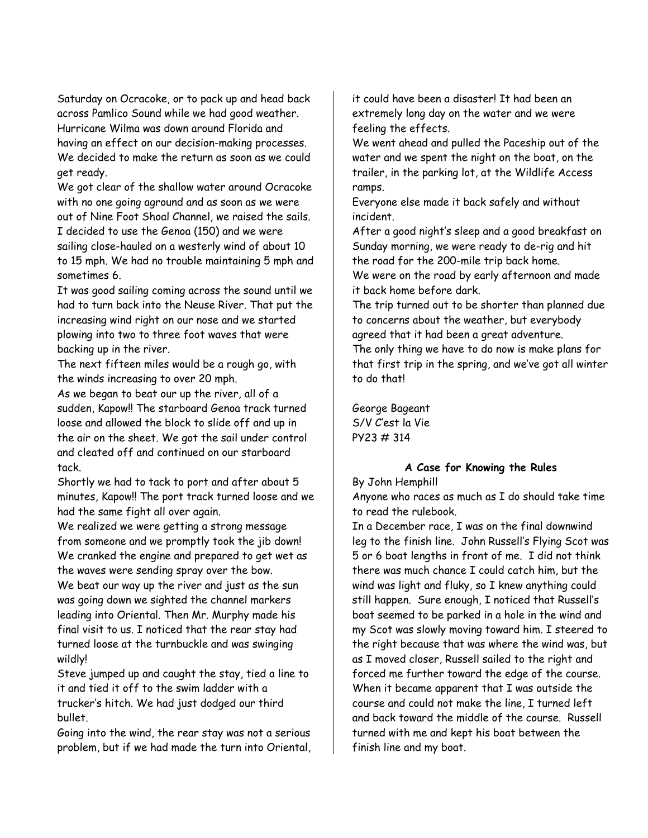Saturday on Ocracoke, or to pack up and head back across Pamlico Sound while we had good weather. Hurricane Wilma was down around Florida and having an effect on our decision-making processes. We decided to make the return as soon as we could get ready.

We got clear of the shallow water around Ocracoke with no one going aground and as soon as we were out of Nine Foot Shoal Channel, we raised the sails. I decided to use the Genoa (150) and we were sailing close-hauled on a westerly wind of about 10 to 15 mph. We had no trouble maintaining 5 mph and sometimes 6.

It was good sailing coming across the sound until we had to turn back into the Neuse River. That put the increasing wind right on our nose and we started plowing into two to three foot waves that were backing up in the river.

The next fifteen miles would be a rough go, with the winds increasing to over 20 mph.

As we began to beat our up the river, all of a sudden, Kapow!! The starboard Genoa track turned loose and allowed the block to slide off and up in the air on the sheet. We got the sail under control and cleated off and continued on our starboard tack.

Shortly we had to tack to port and after about 5 minutes, Kapow!! The port track turned loose and we had the same fight all over again.

We realized we were getting a strong message from someone and we promptly took the jib down! We cranked the engine and prepared to get wet as the waves were sending spray over the bow.

We beat our way up the river and just as the sun was going down we sighted the channel markers leading into Oriental. Then Mr. Murphy made his final visit to us. I noticed that the rear stay had turned loose at the turnbuckle and was swinging wildly!

Steve jumped up and caught the stay, tied a line to it and tied it off to the swim ladder with a trucker's hitch. We had just dodged our third bullet.

Going into the wind, the rear stay was not a serious problem, but if we had made the turn into Oriental,

it could have been a disaster! It had been an extremely long day on the water and we were feeling the effects.

We went ahead and pulled the Paceship out of the water and we spent the night on the boat, on the trailer, in the parking lot, at the Wildlife Access ramps.

Everyone else made it back safely and without incident.

After a good night's sleep and a good breakfast on Sunday morning, we were ready to de-rig and hit the road for the 200-mile trip back home.

We were on the road by early afternoon and made it back home before dark.

The trip turned out to be shorter than planned due to concerns about the weather, but everybody agreed that it had been a great adventure.

The only thing we have to do now is make plans for that first trip in the spring, and we've got all winter to do that!

George Bageant S/V C'est la Vie PY23 # 314

# **A Case for Knowing the Rules**

## By John Hemphill

Anyone who races as much as I do should take time to read the rulebook.

In a December race, I was on the final downwind leg to the finish line. John Russell's Flying Scot was 5 or 6 boat lengths in front of me. I did not think there was much chance I could catch him, but the wind was light and fluky, so I knew anything could still happen. Sure enough, I noticed that Russell's boat seemed to be parked in a hole in the wind and my Scot was slowly moving toward him. I steered to the right because that was where the wind was, but as I moved closer, Russell sailed to the right and forced me further toward the edge of the course. When it became apparent that I was outside the course and could not make the line, I turned left and back toward the middle of the course. Russell turned with me and kept his boat between the finish line and my boat.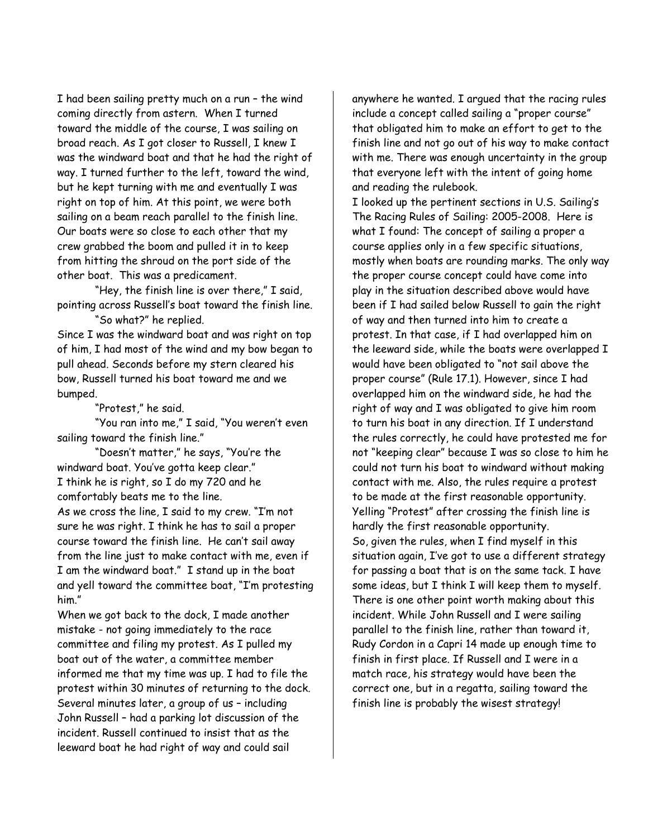I had been sailing pretty much on a run – the wind coming directly from astern. When I turned toward the middle of the course, I was sailing on broad reach. As I got closer to Russell, I knew I was the windward boat and that he had the right of way. I turned further to the left, toward the wind, but he kept turning with me and eventually I was right on top of him. At this point, we were both sailing on a beam reach parallel to the finish line. Our boats were so close to each other that my crew grabbed the boom and pulled it in to keep from hitting the shroud on the port side of the other boat. This was a predicament.

 "Hey, the finish line is over there," I said, pointing across Russell's boat toward the finish line.

"So what?" he replied.

Since I was the windward boat and was right on top of him, I had most of the wind and my bow began to pull ahead. Seconds before my stern cleared his bow, Russell turned his boat toward me and we bumped.

"Protest," he said.

 "You ran into me," I said, "You weren't even sailing toward the finish line."

 "Doesn't matter," he says, "You're the windward boat. You've gotta keep clear." I think he is right, so I do my 720 and he comfortably beats me to the line. As we cross the line, I said to my crew. "I'm not sure he was right. I think he has to sail a proper course toward the finish line. He can't sail away from the line just to make contact with me, even if I am the windward boat." I stand up in the boat and yell toward the committee boat, "I'm protesting him."

When we got back to the dock, I made another mistake - not going immediately to the race committee and filing my protest. As I pulled my boat out of the water, a committee member informed me that my time was up. I had to file the protest within 30 minutes of returning to the dock. Several minutes later, a group of us – including John Russell – had a parking lot discussion of the incident. Russell continued to insist that as the leeward boat he had right of way and could sail

anywhere he wanted. I argued that the racing rules include a concept called sailing a "proper course" that obligated him to make an effort to get to the finish line and not go out of his way to make contact with me. There was enough uncertainty in the group that everyone left with the intent of going home and reading the rulebook.

I looked up the pertinent sections in U.S. Sailing's The Racing Rules of Sailing: 2005-2008. Here is what I found: The concept of sailing a proper a course applies only in a few specific situations, mostly when boats are rounding marks. The only way the proper course concept could have come into play in the situation described above would have been if I had sailed below Russell to gain the right of way and then turned into him to create a protest. In that case, if I had overlapped him on the leeward side, while the boats were overlapped I would have been obligated to "not sail above the proper course" (Rule 17.1). However, since I had overlapped him on the windward side, he had the right of way and I was obligated to give him room to turn his boat in any direction. If I understand the rules correctly, he could have protested me for not "keeping clear" because I was so close to him he could not turn his boat to windward without making contact with me. Also, the rules require a protest to be made at the first reasonable opportunity. Yelling "Protest" after crossing the finish line is hardly the first reasonable opportunity. So, given the rules, when I find myself in this situation again, I've got to use a different strategy for passing a boat that is on the same tack. I have some ideas, but I think I will keep them to myself. There is one other point worth making about this incident. While John Russell and I were sailing parallel to the finish line, rather than toward it, Rudy Cordon in a Capri 14 made up enough time to finish in first place. If Russell and I were in a match race, his strategy would have been the correct one, but in a regatta, sailing toward the finish line is probably the wisest strategy!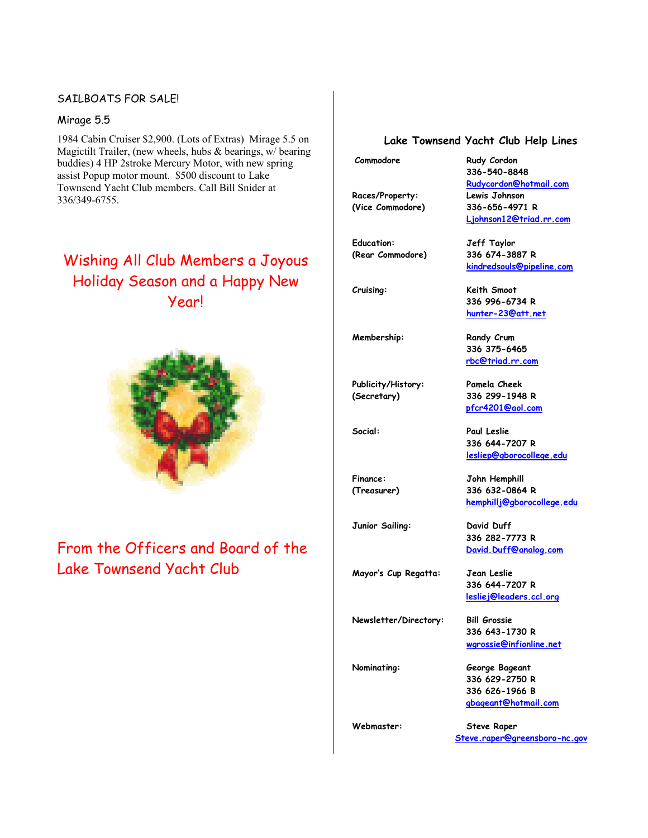## SAILBOATS FOR SALE!

### Mirage 5.5

1984 Cabin Cruiser \$2,900. (Lots of Extras) Mirage 5.5 on Magictilt Trailer, (new wheels, hubs & bearings, w/ bearing buddies) 4 HP 2stroke Mercury Motor, with new spring assist Popup motor mount. \$500 discount to Lake Townsend Yacht Club members. Call Bill Snider at 336/349-6755.

# Wishing All Club Members a Joyous Holiday Season and a Happy New Year!



# From the Officers and Board of the Lake Townsend Yacht Club

#### **Lake Townsend Yacht Club Help Lines**

**336-540-8848** 

**Rudycordon@hotmail.com**

 **Ljohnson12@triad.rr.com**

 **kindredsouls@pipeline.com**

 **336 996-6734 R hunter-23@att.net** 

 **336 375-6465 rbc@triad.rr.com** 

 **pfcr4201@aol.com** 

 **336 644-7207 R lesliep@gborocollege.edu** 

 **336 282-7773 R David.Duff@analog.com** 

 **336 644-7207 R lesliej@leaders.ccl.org**

 **336 643-1730 R wgrossie@infionline.net** 

 **hemphillj@gborocollege.edu**

**Commodore Rudy Cordon**

**Races/Property: Lewis Johnson (Vice Commodore) 336-656-4971 R** 

**Education: Jeff Taylor (Rear Commodore) 336 674-3887 R** 

**Cruising: Keith Smoot** 

**Membership:** Randy Crum

**Publicity/History: Pamela Cheek (Secretary) 336 299-1948 R** 

**Social: Paul Leslie** 

**Finance: John Hemphill (Treasurer) 336 632-0864 R** 

**Junior Sailing: David Duff** 

**Mayor's Cup Regatta: Jean Leslie** 

**Newsletter/Directory: Bill Grossie** 

**Nominating: George Bageant 336 629-2750 R 336 626-1966 B gbageant@hotmail.com** 

**Webmaster: Steve Raper Steve.raper@greensboro-nc.gov**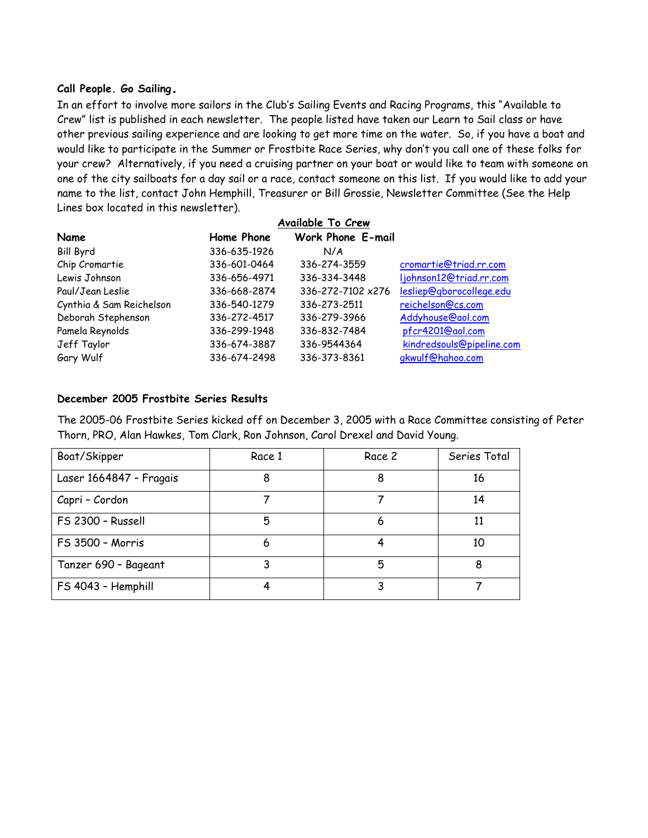## **Call People. Go Sailing.**

In an effort to involve more sailors in the Club's Sailing Events and Racing Programs, this "Available to Crew" list is published in each newsletter. The people listed have taken our Learn to Sail class or have other previous sailing experience and are looking to get more time on the water. So, if you have a boat and would like to participate in the Summer or Frostbite Race Series, why don't you call one of these folks for your crew? Alternatively, if you need a cruising partner on your boat or would like to team with someone on one of the city sailboats for a day sail or a race, contact someone on this list. If you would like to add your name to the list, contact John Hemphill, Treasurer or Bill Grossie, Newsletter Committee (See the Help Lines box located in this newsletter).

|                          |              | Available To Crew        |                           |
|--------------------------|--------------|--------------------------|---------------------------|
| Name                     | Home Phone   | <b>Work Phone E-mail</b> |                           |
| <b>Bill Byrd</b>         | 336-635-1926 | N/A                      |                           |
| Chip Cromartie           | 336-601-0464 | 336-274-3559             | cromartie@triad.rr.com    |
| Lewis Johnson            | 336-656-4971 | 336-334-3448             | ljohnson12@triad.rr.com   |
| Paul/Jean Leslie         | 336-668-2874 | 336-272-7102 x276        | lesliep@gborocollege.edu  |
| Cynthia & Sam Reichelson | 336-540-1279 | 336-273-2511             | reichelson@cs.com         |
| Deborah Stephenson       | 336-272-4517 | 336-279-3966             | Addyhouse@aol.com         |
| Pamela Reynolds          | 336-299-1948 | 336-832-7484             | pfcr4201@aol.com          |
| Jeff Taylor              | 336-674-3887 | 336-9544364              | kindredsouls@pipeline.com |
| Gary Wulf                | 336-674-2498 | 336-373-8361             | gkwulf@hahoo.com          |

### **December 2005 Frostbite Series Results**

The 2005-06 Frostbite Series kicked off on December 3, 2005 with a Race Committee consisting of Peter Thorn, PRO, Alan Hawkes, Tom Clark, Ron Johnson, Carol Drexel and David Young.

| Boat/Skipper            | Race 1 | Race 2 | Series Total |
|-------------------------|--------|--------|--------------|
| Laser 1664847 - Fragais | 8      | 8      | 16           |
| Capri - Cordon          |        |        | 14           |
| FS 2300 - Russell       | 5      | 6      | 11           |
| FS 3500 - Morris        | 6      |        | 10           |
| Tanzer 690 - Bageant    | 3      | 5      | 8            |
| FS 4043 - Hemphill      |        | 3      |              |